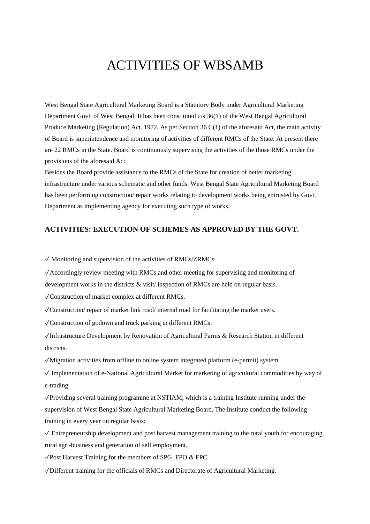# ACTIVITIES OF WBSAMB

West Bengal State Agricultural Marketing Board is a Statutory Body under Agricultural Marketing Department Govt. of West Bengal. It has been constituted u/s 36(1) of the West Bengal Agricultural Produce Marketing (Regulation) Act. 1972. As per Section 36 C(1) of the aforesaid Act, the main activity of Board is superintendence and monitoring of activities of different RMCs of the State. At present there are 22 RMCs in the State. Board is continuously supervising the activities of the those RMCs under the provisions of the aforesaid Act.

Besides the Board provide assistance to the RMCs of the State for creation of better marketing infrastructure under various schematic and other funds. West Bengal State Agricultural Marketing Board has been performing construction/ repair works relating to development works being entrusted by Govt. Department as implementing agency for executing such type of works.

### **ACTIVITIES: EXECUTION OF SCHEMES AS APPROVED BY THE GOVT.**

 $\sqrt{\frac{M}}{N}}$  Monitoring and supervision of the activities of RMCs/ZRMCs

✓Accordingly review meeting with RMCs and other meeting for supervising and monitoring of

development works in the districts & visit/ inspection of RMCs are held on regular basis.

✓Construction of market complex at different RMCs.

 $\sqrt{\rm Construction/}$  repair of market link road/ internal road for facilitating the market users.

✓Construction of godown and truck parking in different RMCs.

✓Infrastructure Development by Renovation of Agricultural Farms & Research Station in different districts.

✓Migration activities from offline to online system integrated platform (e-permit) system.

✓ Implementation of e-National Agricultural Market for marketing of agricultural commodities by way of e-trading.

✓Providing several training programme at NSTIAM, which is a training Institute running under the supervision of West Bengal State Agricultural Marketing Board. The Institute conduct the following training in every year on regular basis:

 $\sqrt{\frac{1}{100}}$  Entrepreneurship development and post harvest management training to the rural youth for encouraging rural agri-business and generation of self employment.

✓Post Harvest Training for the members of SPG, FPO & FPC.

✓Different training for the officials of RMCs and Directorate of Agricultural Marketing.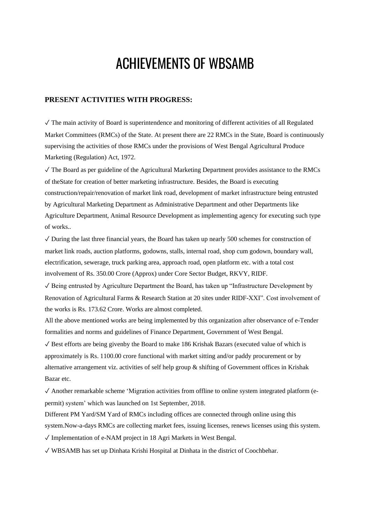# ACHIEVEMENTS OF WBSAMB

## **PRESENT ACTIVITIES WITH PROGRESS:**

 $\sqrt{\ }$  The main activity of Board is superintendence and monitoring of different activities of all Regulated Market Committees (RMCs) of the State. At present there are 22 RMCs in the State, Board is continuously supervising the activities of those RMCs under the provisions of West Bengal Agricultural Produce Marketing (Regulation) Act, 1972.

 $\sqrt{\ }$  The Board as per guideline of the Agricultural Marketing Department provides assistance to the RMCs of theState for creation of better marketing infrastructure. Besides, the Board is executing construction/repair/renovation of market link road, development of market infrastructure being entrusted by Agricultural Marketing Department as Administrative Department and other Departments like Agriculture Department, Animal Resource Development as implementing agency for executing such type of works..

 $\sqrt{\frac{1}{10}}$  During the last three financial years, the Board has taken up nearly 500 schemes for construction of market link roads, auction platforms, godowns, stalls, internal road, shop cum godown, boundary wall, electrification, sewerage, truck parking area, approach road, open platform etc. with a total cost involvement of Rs. 350.00 Crore (Approx) under Core Sector Budget, RKVY, RIDF.

 $\sqrt{\frac{1}{2}}$  Being entrusted by Agriculture Department the Board, has taken up "Infrastructure Development by Renovation of Agricultural Farms & Research Station at 20 sites under RIDF-XXI". Cost involvement of the works is Rs. 173.62 Crore. Works are almost completed.

All the above mentioned works are being implemented by this organization after observance of e-Tender formalities and norms and guidelines of Finance Department, Government of West Bengal.

 $\sqrt{\frac{1}{10}}$  Best efforts are being given the Board to make 186 Krishak Bazars (executed value of which is approximately is Rs. 1100.00 crore functional with market sitting and/or paddy procurement or by alternative arrangement viz. activities of self help group & shifting of Government offices in Krishak Bazar etc.

 $\checkmark$  Another remarkable scheme 'Migration activities from offline to online system integrated platform (epermit) system' which was launched on 1st September, 2018.

Different PM Yard/SM Yard of RMCs including offices are connected through online using this system.Now-a-days RMCs are collecting market fees, issuing licenses, renews licenses using this system.

 $\sqrt{\ }$  Implementation of e-NAM project in 18 Agri Markets in West Bengal.

✓ WBSAMB has set up Dinhata Krishi Hospital at Dinhata in the district of Coochbehar.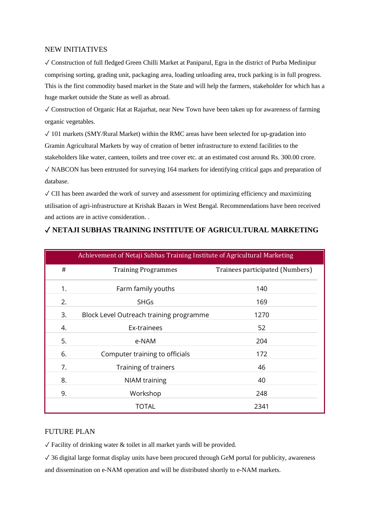#### NEW INITIATIVES

✓ Construction of full fledged Green Chilli Market at Paniparul, Egra in the district of Purba Medinipur comprising sorting, grading unit, packaging area, loading unloading area, truck parking is in full progress. This is the first commodity based market in the State and will help the farmers, stakeholder for which has a huge market outside the State as well as abroad.

✓ Construction of Organic Hat at Rajarhat, near New Town have been taken up for awareness of farming organic vegetables.

 $\sqrt{101}$  markets (SMY/Rural Market) within the RMC areas have been selected for up-gradation into Gramin Agricultural Markets by way of creation of better infrastructure to extend facilities to the stakeholders like water, canteen, toilets and tree cover etc. at an estimated cost around Rs. 300.00 crore.

 $\sqrt{\ }$  NABCON has been entrusted for surveying 164 markets for identifying critical gaps and preparation of database.

 $\sqrt{\frac{1}{1}}$  CII has been awarded the work of survey and assessment for optimizing efficiency and maximizing utilisation of agri-infrastructure at Krishak Bazars in West Bengal. Recommendations have been received and actions are in active consideration. .

| Achievement of Netaji Subhas Training Institute of Agricultural Marketing |                                         |                                 |
|---------------------------------------------------------------------------|-----------------------------------------|---------------------------------|
| #                                                                         | <b>Training Programmes</b>              | Trainees participated (Numbers) |
| 1.                                                                        | Farm family youths                      | 140                             |
| 2.                                                                        | <b>SHGs</b>                             | 169                             |
| 3.                                                                        | Block Level Outreach training programme | 1270                            |
| 4.                                                                        | Ex-trainees                             | 52                              |
| 5.                                                                        | e-NAM                                   | 204                             |
| 6.                                                                        | Computer training to officials          | 172                             |
| 7.                                                                        | Training of trainers                    | 46                              |
| 8.                                                                        | <b>NIAM</b> training                    | 40                              |
| 9.                                                                        | Workshop                                | 248                             |
|                                                                           | TOTAL                                   | 2341                            |

# ✓ **NETAJI SUBHAS TRAINING INSTITUTE OF AGRICULTURAL MARKETING**

#### FUTURE PLAN

 $\sqrt{\frac{1}{2}}$  Facility of drinking water & toilet in all market yards will be provided.

 $\sqrt{36}$  digital large format display units have been procured through GeM portal for publicity, awareness and dissemination on e-NAM operation and will be distributed shortly to e-NAM markets.